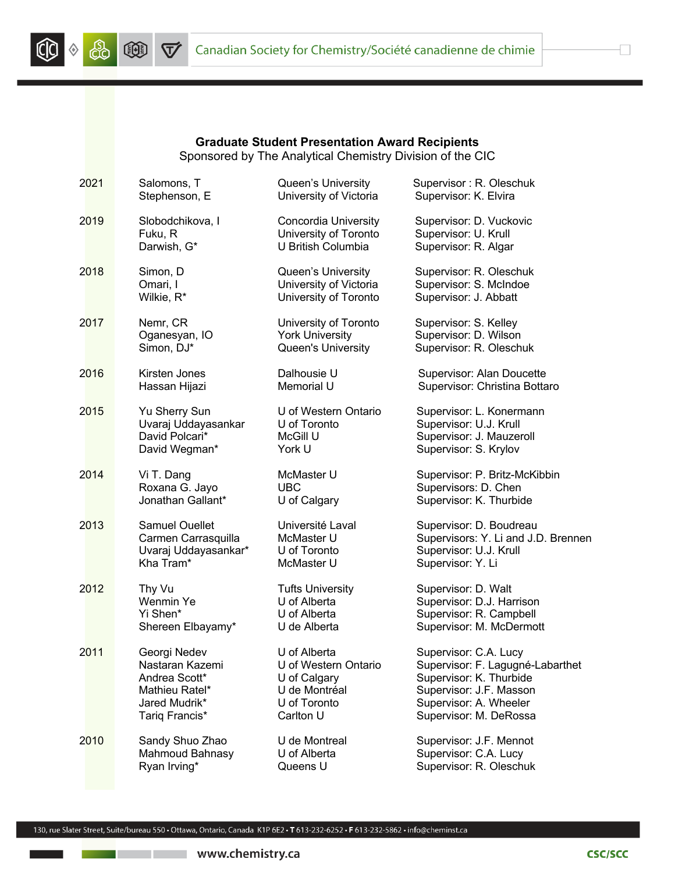



## **Graduate Student Presentation Award Recipients** Sponsored by The Analytical Chemistry Division of the CIC

| 2021 | Salomons, T           | Queen's University          | Supervisor: R. Oleschuk             |
|------|-----------------------|-----------------------------|-------------------------------------|
|      | Stephenson, E         | University of Victoria      | Supervisor: K. Elvira               |
| 2019 | Slobodchikova, I      | <b>Concordia University</b> | Supervisor: D. Vuckovic             |
|      | Fuku, R               | University of Toronto       | Supervisor: U. Krull                |
|      | Darwish, G*           | U British Columbia          | Supervisor: R. Algar                |
| 2018 | Simon, D              | Queen's University          | Supervisor: R. Oleschuk             |
|      | Omari, I              | University of Victoria      | Supervisor: S. McIndoe              |
|      | Wilkie, R*            | University of Toronto       | Supervisor: J. Abbatt               |
| 2017 | Nemr, CR              | University of Toronto       | Supervisor: S. Kelley               |
|      | Oganesyan, IO         | <b>York University</b>      | Supervisor: D. Wilson               |
|      | Simon, DJ*            | Queen's University          | Supervisor: R. Oleschuk             |
| 2016 | Kirsten Jones         | Dalhousie U                 | Supervisor: Alan Doucette           |
|      | Hassan Hijazi         | Memorial U                  | Supervisor: Christina Bottaro       |
| 2015 | Yu Sherry Sun         | U of Western Ontario        | Supervisor: L. Konermann            |
|      | Uvaraj Uddayasankar   | U of Toronto                | Supervisor: U.J. Krull              |
|      | David Polcari*        | McGill U                    | Supervisor: J. Mauzeroll            |
|      | David Wegman*         | York U                      | Supervisor: S. Krylov               |
| 2014 | Vi T. Dang            | McMaster U                  | Supervisor: P. Britz-McKibbin       |
|      | Roxana G. Jayo        | <b>UBC</b>                  | Supervisors: D. Chen                |
|      | Jonathan Gallant*     | U of Calgary                | Supervisor: K. Thurbide             |
| 2013 | <b>Samuel Ouellet</b> | Université Laval            | Supervisor: D. Boudreau             |
|      | Carmen Carrasquilla   | McMaster U                  | Supervisors: Y. Li and J.D. Brennen |
|      | Uvaraj Uddayasankar*  | U of Toronto                | Supervisor: U.J. Krull              |
|      | Kha Tram*             | McMaster U                  | Supervisor: Y. Li                   |
| 2012 | Thy Vu                | <b>Tufts University</b>     | Supervisor: D. Walt                 |
|      | Wenmin Ye             | U of Alberta                | Supervisor: D.J. Harrison           |
|      | Yi Shen*              | U of Alberta                | Supervisor: R. Campbell             |
|      | Shereen Elbayamy*     | U de Alberta                | Supervisor: M. McDermott            |
| 2011 | Georgi Nedev          | U of Alberta                | Supervisor: C.A. Lucy               |
|      | Nastaran Kazemi       | U of Western Ontario        | Supervisor: F. Lagugné-Labarthet    |
|      | Andrea Scott*         | U of Calgary                | Supervisor: K. Thurbide             |
|      | Mathieu Ratel*        | U de Montréal               | Supervisor: J.F. Masson             |
|      | Jared Mudrik*         | U of Toronto                | Supervisor: A. Wheeler              |
|      | Tariq Francis*        | Carlton U                   | Supervisor: M. DeRossa              |
| 2010 | Sandy Shuo Zhao       | U de Montreal               | Supervisor: J.F. Mennot             |
|      | Mahmoud Bahnasy       | U of Alberta                | Supervisor: C.A. Lucy               |
|      | Ryan Irving*          | Queens U                    | Supervisor: R. Oleschuk             |

Ð